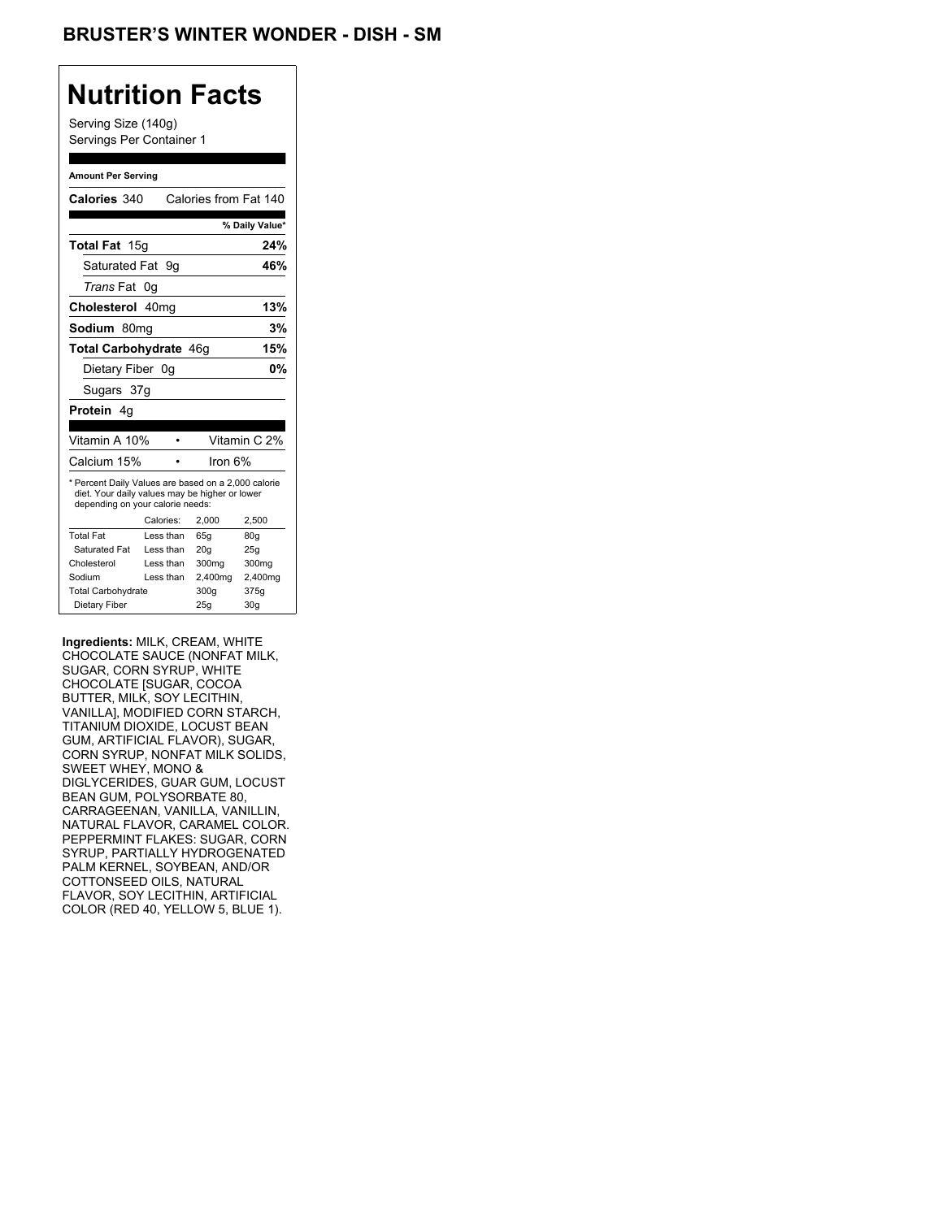Serving Size (140g) Servings Per Container 1

#### **Amount Per Serving**

| Calories 340                                                                                                                              |    |           | Calories from Fat 140 |                |
|-------------------------------------------------------------------------------------------------------------------------------------------|----|-----------|-----------------------|----------------|
|                                                                                                                                           |    |           |                       | % Daily Value* |
| Total Fat 15g                                                                                                                             |    |           |                       | 24%            |
| Saturated Fat 9q                                                                                                                          |    |           |                       | 46%            |
| <i>Trans</i> Fat                                                                                                                          | 0g |           |                       |                |
| Cholesterol 40mg                                                                                                                          |    |           |                       | 13%            |
| Sodium 80mq                                                                                                                               |    |           |                       | 3%             |
| <b>Total Carbohydrate 46g</b>                                                                                                             |    |           |                       | 15%            |
| Dietary Fiber 0q                                                                                                                          |    |           |                       | 0%             |
| Sugars 37g                                                                                                                                |    |           |                       |                |
| <b>Protein</b> 4q                                                                                                                         |    |           |                       |                |
|                                                                                                                                           |    |           |                       |                |
| Vitamin A 10%                                                                                                                             |    |           |                       | Vitamin C 2%   |
| Calcium 15%                                                                                                                               |    |           | lron 6%               |                |
| * Percent Daily Values are based on a 2,000 calorie<br>diet. Your daily values may be higher or lower<br>depending on your calorie needs: |    |           |                       |                |
|                                                                                                                                           |    | Calories: | 2.000                 | 2,500          |
| <b>Total Fat</b>                                                                                                                          |    | Less than | 65q                   | 80q            |
| Saturated Fat                                                                                                                             |    | Less than | 20q                   | 25q            |
| Cholesterol                                                                                                                               |    | Less than | 300mg                 | 300mg          |
| Sodium                                                                                                                                    |    | Less than | 2,400mg               | 2,400mg        |
| <b>Total Carbohydrate</b>                                                                                                                 |    |           | 300g                  | 375g           |
| Dietary Fiber                                                                                                                             |    |           | 25q                   | 30q            |

**Ingredients:** MILK, CREAM, WHITE CHOCOLATE SAUCE (NONFAT MILK, SUGAR, CORN SYRUP, WHITE CHOCOLATE [SUGAR, COCOA BUTTER, MILK, SOY LECITHIN, VANILLA], MODIFIED CORN STARCH, TITANIUM DIOXIDE, LOCUST BEAN GUM, ARTIFICIAL FLAVOR), SUGAR, CORN SYRUP, NONFAT MILK SOLIDS, SWEET WHEY, MONO & DIGLYCERIDES, GUAR GUM, LOCUST BEAN GUM, POLYSORBATE 80, CARRAGEENAN, VANILLA, VANILLIN, NATURAL FLAVOR, CARAMEL COLOR. PEPPERMINT FLAKES: SUGAR, CORN SYRUP, PARTIALLY HYDROGENATED PALM KERNEL, SOYBEAN, AND/OR COTTONSEED OILS, NATURAL FLAVOR, SOY LECITHIN, ARTIFICIAL COLOR (RED 40, YELLOW 5, BLUE 1).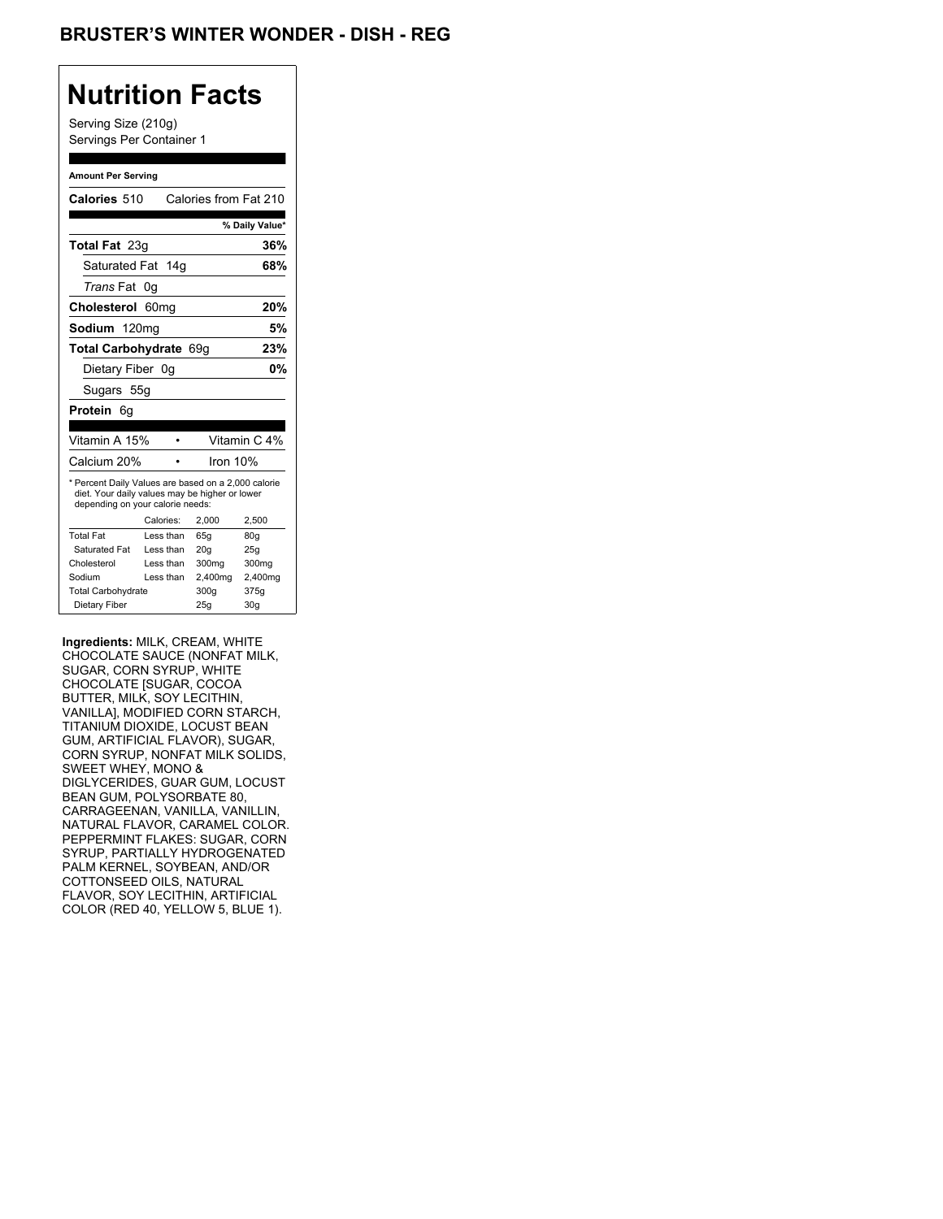Serving Size (210g) Servings Per Container 1

### **Amount Per Serving**

| Calories 510                                                                                                                              |                  | Calories from Fat 210 |                |
|-------------------------------------------------------------------------------------------------------------------------------------------|------------------|-----------------------|----------------|
|                                                                                                                                           |                  |                       | % Daily Value* |
| <b>Total Fat 23g</b>                                                                                                                      |                  |                       | 36%            |
| Saturated Fat 14g                                                                                                                         |                  |                       | 68%            |
| Trans Fat                                                                                                                                 | 0g               |                       |                |
| Cholesterol                                                                                                                               | 60 <sub>mq</sub> |                       | 20%            |
| Sodium 120mg                                                                                                                              |                  |                       | 5%             |
| Total Carbohydrate 69q                                                                                                                    |                  |                       | 23%            |
| Dietary Fiber 0q                                                                                                                          |                  |                       | 0%             |
| Sugars 55g                                                                                                                                |                  |                       |                |
| Protein<br>6g                                                                                                                             |                  |                       |                |
|                                                                                                                                           |                  |                       |                |
| Vitamin A 15%                                                                                                                             |                  |                       | Vitamin C 4%   |
| Calcium 20%                                                                                                                               |                  | Iron 10%              |                |
| * Percent Daily Values are based on a 2,000 calorie<br>diet. Your daily values may be higher or lower<br>depending on your calorie needs: |                  |                       |                |
|                                                                                                                                           | Calories:        | 2.000                 | 2,500          |
|                                                                                                                                           |                  |                       |                |
| <b>Total Fat</b>                                                                                                                          | Less than        | 65q                   | 80q            |
| Saturated Fat                                                                                                                             | Less than        | 20q                   | 25q            |
| Cholesterol                                                                                                                               | I ess than       | 300mg                 | 300mg          |
| Sodium                                                                                                                                    | Less than        | 2,400mg               | 2,400mg        |
| <b>Total Carbohydrate</b>                                                                                                                 |                  | 300g                  | 375g           |

**Ingredients:** MILK, CREAM, WHITE CHOCOLATE SAUCE (NONFAT MILK, SUGAR, CORN SYRUP, WHITE CHOCOLATE [SUGAR, COCOA BUTTER, MILK, SOY LECITHIN, VANILLA], MODIFIED CORN STARCH, TITANIUM DIOXIDE, LOCUST BEAN GUM, ARTIFICIAL FLAVOR), SUGAR, CORN SYRUP, NONFAT MILK SOLIDS, SWEET WHEY, MONO & DIGLYCERIDES, GUAR GUM, LOCUST BEAN GUM, POLYSORBATE 80, CARRAGEENAN, VANILLA, VANILLIN, NATURAL FLAVOR, CARAMEL COLOR. PEPPERMINT FLAKES: SUGAR, CORN SYRUP, PARTIALLY HYDROGENATED PALM KERNEL, SOYBEAN, AND/OR COTTONSEED OILS, NATURAL FLAVOR, SOY LECITHIN, ARTIFICIAL COLOR (RED 40, YELLOW 5, BLUE 1).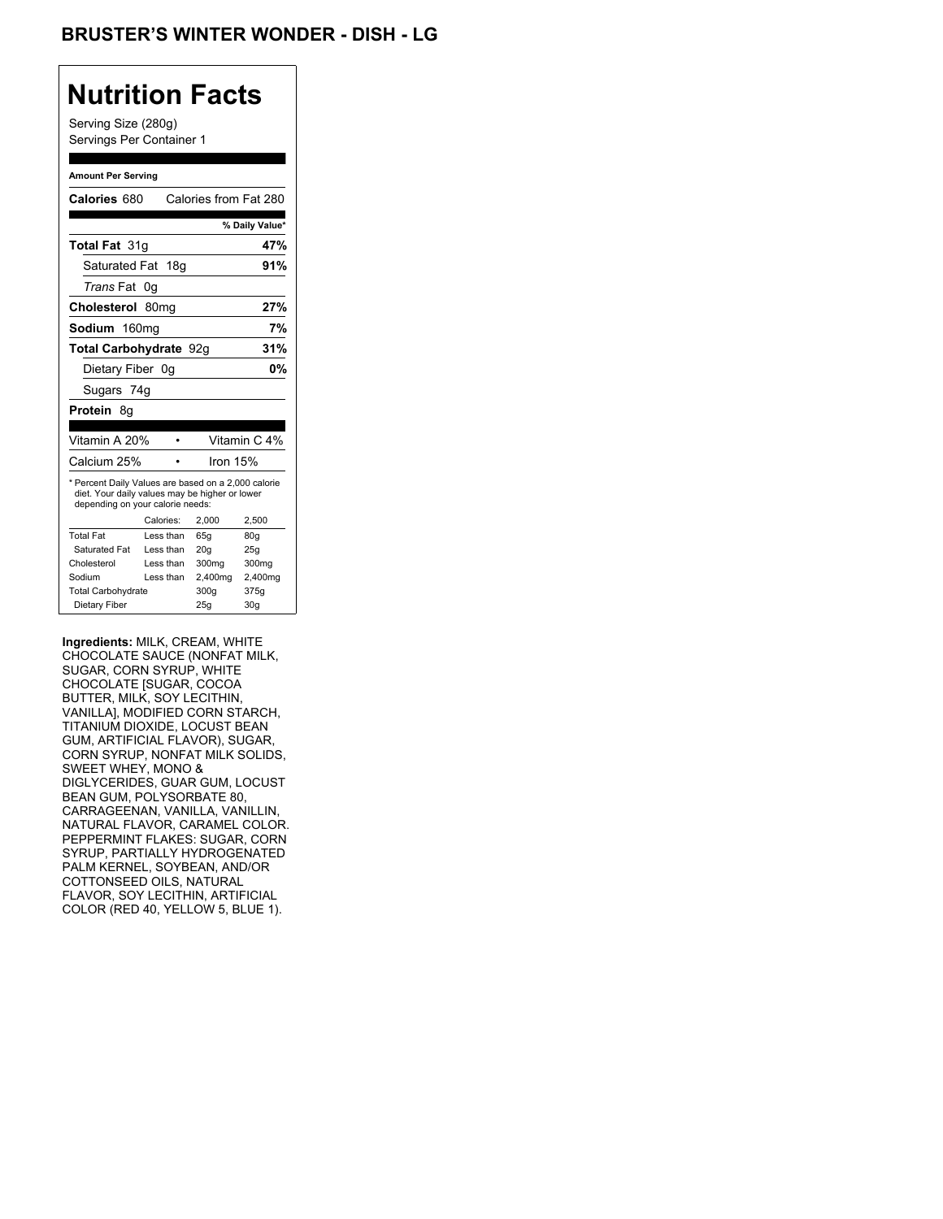Serving Size (280g) Servings Per Container 1

#### **Amount Per Serving**

| Calories 680                                                                                                                              |                  |           |          | Calories from Fat 280 |
|-------------------------------------------------------------------------------------------------------------------------------------------|------------------|-----------|----------|-----------------------|
|                                                                                                                                           |                  |           |          | % Daily Value*        |
| <b>Total Fat 31g</b>                                                                                                                      |                  |           |          | 47%                   |
| Saturated Fat 18g                                                                                                                         |                  |           |          | 91%                   |
| <i>Trans</i> Fat                                                                                                                          | 0g               |           |          |                       |
| Cholesterol                                                                                                                               | 80 <sub>mq</sub> |           |          | 27%                   |
| Sodium 160mg                                                                                                                              |                  |           |          | 7%                    |
| Total Carbohydrate 92g                                                                                                                    |                  |           |          | 31%                   |
| Dietary Fiber 0q                                                                                                                          |                  |           |          | 0%                    |
| Sugars 74g                                                                                                                                |                  |           |          |                       |
| <b>Protein 8g</b>                                                                                                                         |                  |           |          |                       |
|                                                                                                                                           |                  |           |          |                       |
| Vitamin A 20%                                                                                                                             |                  |           |          | Vitamin C 4%          |
| Calcium 25%                                                                                                                               |                  |           | Iron 15% |                       |
| * Percent Daily Values are based on a 2,000 calorie<br>diet. Your daily values may be higher or lower<br>depending on your calorie needs: |                  |           |          |                       |
|                                                                                                                                           | Calories:        |           | 2.000    | 2,500                 |
| <b>Total Fat</b>                                                                                                                          |                  | Less than | 65q      | 80q                   |
| Saturated Fat                                                                                                                             |                  | Less than | 20q      | 25q                   |
| Cholesterol                                                                                                                               |                  | Less than | 300mg    | 300mg                 |
| Sodium                                                                                                                                    |                  | Less than | 2,400mg  | 2,400mg               |
| <b>Total Carbohydrate</b>                                                                                                                 |                  |           | 300g     | 375g                  |
| Dietary Fiber                                                                                                                             |                  |           | 25q      | 30 <sub>g</sub>       |

**Ingredients:** MILK, CREAM, WHITE CHOCOLATE SAUCE (NONFAT MILK, SUGAR, CORN SYRUP, WHITE CHOCOLATE [SUGAR, COCOA BUTTER, MILK, SOY LECITHIN, VANILLA], MODIFIED CORN STARCH, TITANIUM DIOXIDE, LOCUST BEAN GUM, ARTIFICIAL FLAVOR), SUGAR, CORN SYRUP, NONFAT MILK SOLIDS, SWEET WHEY, MONO & DIGLYCERIDES, GUAR GUM, LOCUST BEAN GUM, POLYSORBATE 80, CARRAGEENAN, VANILLA, VANILLIN, NATURAL FLAVOR, CARAMEL COLOR. PEPPERMINT FLAKES: SUGAR, CORN SYRUP, PARTIALLY HYDROGENATED PALM KERNEL, SOYBEAN, AND/OR COTTONSEED OILS, NATURAL FLAVOR, SOY LECITHIN, ARTIFICIAL COLOR (RED 40, YELLOW 5, BLUE 1).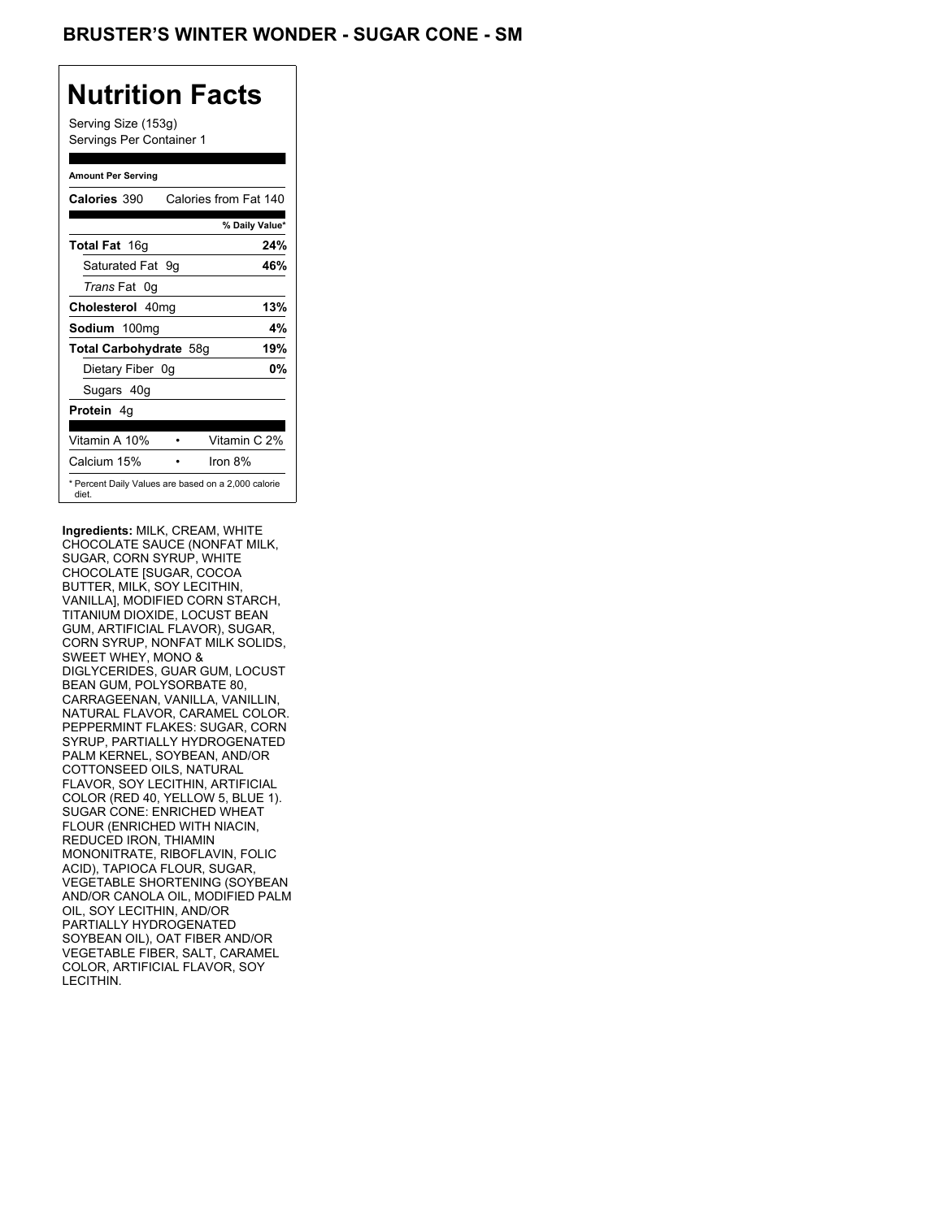Serving Size (153g) Servings Per Container 1

### **Amount Per Serving**

| Calories 390           | Calories from Fat 140                               |
|------------------------|-----------------------------------------------------|
|                        | % Daily Value*                                      |
| <b>Total Fat</b> 16g   | 24%                                                 |
| Saturated Fat 9g       | 46%                                                 |
| <i>Trans</i> Fat 0q    |                                                     |
| Cholesterol 40mg       | 13%                                                 |
| Sodium 100mg           | 4%                                                  |
| Total Carbohydrate 58g | 19%                                                 |
| Dietary Fiber 0g       | 0%                                                  |
| Sugars 40g             |                                                     |
| <b>Protein</b> 4q      |                                                     |
| Vitamin A 10%          | Vitamin C 2%                                        |
| Calcium 15%            | Iron $8\%$                                          |
| diet.                  | * Percent Daily Values are based on a 2,000 calorie |

**Ingredients:** MILK, CREAM, WHITE CHOCOLATE SAUCE (NONFAT MILK, SUGAR, CORN SYRUP, WHITE CHOCOLATE [SUGAR, COCOA BUTTER, MILK, SOY LECITHIN, VANILLA], MODIFIED CORN STARCH, TITANIUM DIOXIDE, LOCUST BEAN GUM, ARTIFICIAL FLAVOR), SUGAR, CORN SYRUP, NONFAT MILK SOLIDS, SWEET WHEY, MONO & DIGLYCERIDES, GUAR GUM, LOCUST BEAN GUM, POLYSORBATE 80, CARRAGEENAN, VANILLA, VANILLIN, NATURAL FLAVOR, CARAMEL COLOR. PEPPERMINT FLAKES: SUGAR, CORN SYRUP, PARTIALLY HYDROGENATED PALM KERNEL, SOYBEAN, AND/OR COTTONSEED OILS, NATURAL FLAVOR, SOY LECITHIN, ARTIFICIAL COLOR (RED 40, YELLOW 5, BLUE 1). SUGAR CONE: ENRICHED WHEAT FLOUR (ENRICHED WITH NIACIN, REDUCED IRON, THIAMIN MONONITRATE, RIBOFLAVIN, FOLIC ACID), TAPIOCA FLOUR, SUGAR, VEGETABLE SHORTENING (SOYBEAN AND/OR CANOLA OIL, MODIFIED PALM OIL, SOY LECITHIN, AND/OR PARTIALLY HYDROGENATED SOYBEAN OIL), OAT FIBER AND/OR VEGETABLE FIBER, SALT, CARAMEL COLOR, ARTIFICIAL FLAVOR, SOY LECITHIN.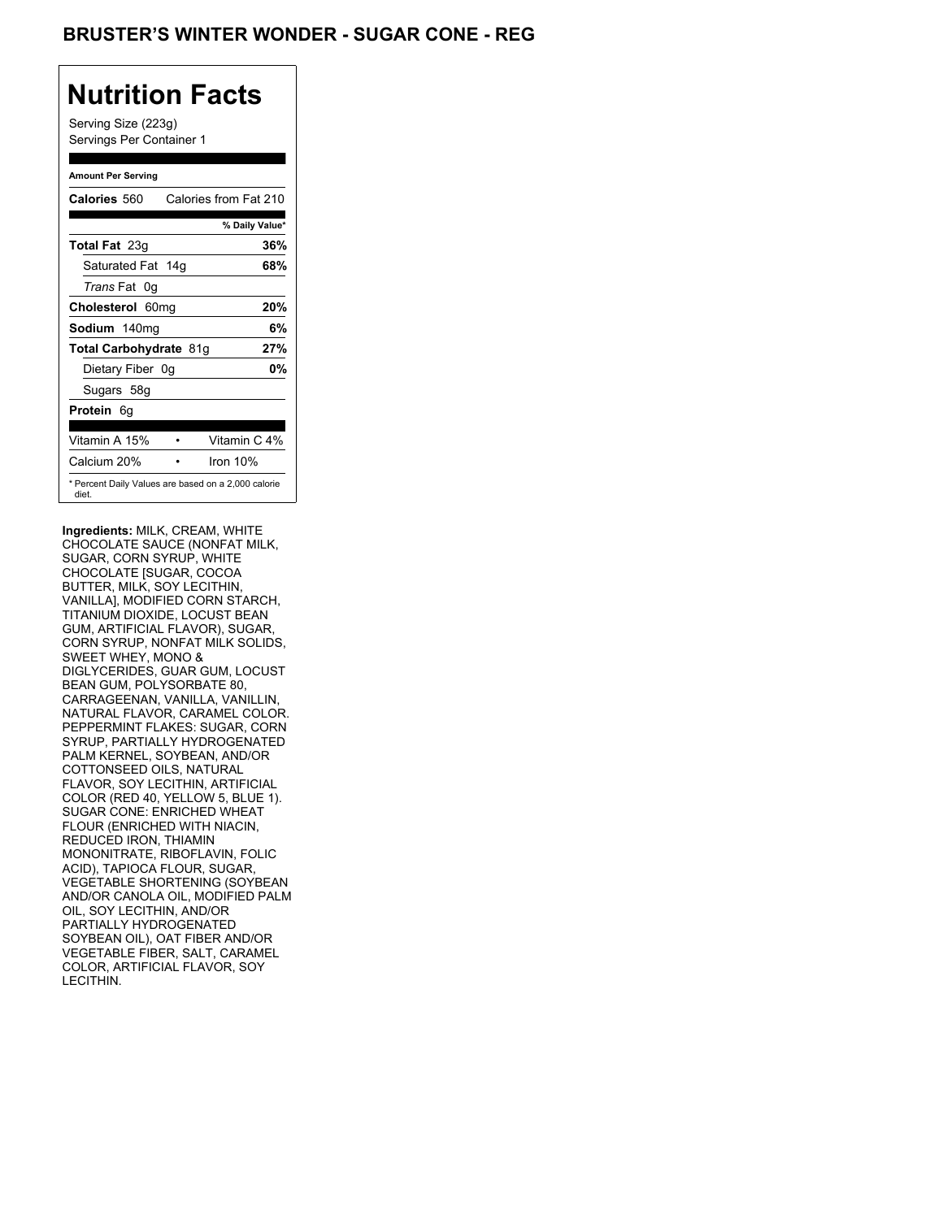Serving Size (223g) Servings Per Container 1

### **Amount Per Serving**

| Calories 560                                                 | Calories from Fat 210 |
|--------------------------------------------------------------|-----------------------|
|                                                              | % Daily Value*        |
| <b>Total Fat</b> 23g                                         | 36%                   |
| Saturated Fat 14g                                            | 68%                   |
| <i>Trans</i> Fat 0q                                          |                       |
| Cholesterol 60mg                                             | 20%                   |
| Sodium 140mg                                                 | 6%                    |
| Total Carbohydrate 81g                                       | 27%                   |
| Dietary Fiber 0g                                             | 0%                    |
| Sugars 58g                                                   |                       |
| <b>Protein</b> 6q                                            |                       |
| Vitamin A 15%                                                | Vitamin C 4%          |
| Calcium 20%                                                  | Iron $10\%$           |
| * Percent Daily Values are based on a 2,000 calorie<br>diet. |                       |

**Ingredients:** MILK, CREAM, WHITE CHOCOLATE SAUCE (NONFAT MILK, SUGAR, CORN SYRUP, WHITE CHOCOLATE [SUGAR, COCOA BUTTER, MILK, SOY LECITHIN, VANILLA], MODIFIED CORN STARCH, TITANIUM DIOXIDE, LOCUST BEAN GUM, ARTIFICIAL FLAVOR), SUGAR, CORN SYRUP, NONFAT MILK SOLIDS, SWEET WHEY, MONO & DIGLYCERIDES, GUAR GUM, LOCUST BEAN GUM, POLYSORBATE 80, CARRAGEENAN, VANILLA, VANILLIN, NATURAL FLAVOR, CARAMEL COLOR. PEPPERMINT FLAKES: SUGAR, CORN SYRUP, PARTIALLY HYDROGENATED PALM KERNEL, SOYBEAN, AND/OR COTTONSEED OILS, NATURAL FLAVOR, SOY LECITHIN, ARTIFICIAL COLOR (RED 40, YELLOW 5, BLUE 1). SUGAR CONE: ENRICHED WHEAT FLOUR (ENRICHED WITH NIACIN, REDUCED IRON, THIAMIN MONONITRATE, RIBOFLAVIN, FOLIC ACID), TAPIOCA FLOUR, SUGAR, VEGETABLE SHORTENING (SOYBEAN AND/OR CANOLA OIL, MODIFIED PALM OIL, SOY LECITHIN, AND/OR PARTIALLY HYDROGENATED SOYBEAN OIL), OAT FIBER AND/OR VEGETABLE FIBER, SALT, CARAMEL COLOR, ARTIFICIAL FLAVOR, SOY LECITHIN.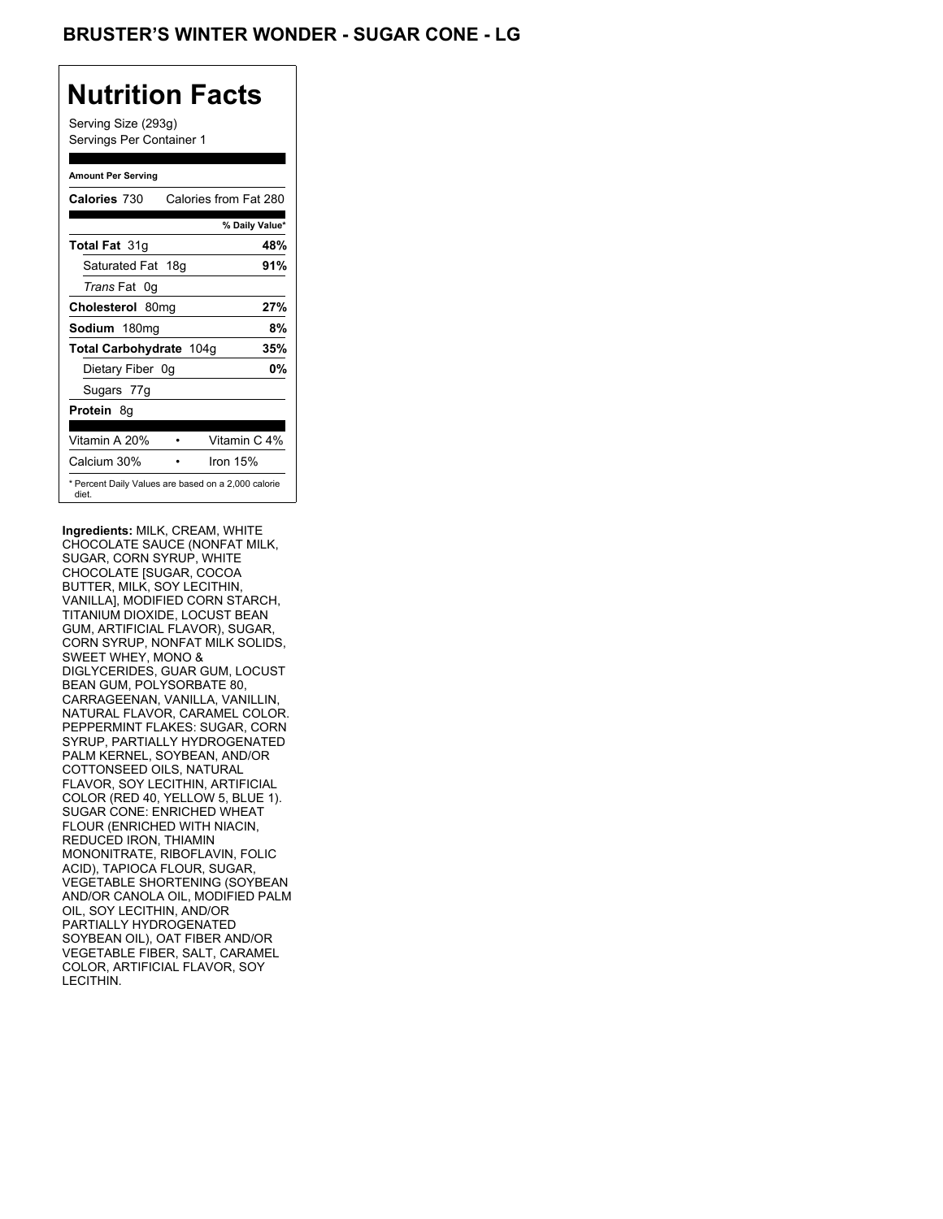Serving Size (293g) Servings Per Container 1

### **Amount Per Serving**

| <b>Calories 730</b>                                          |  | Calories from Fat 280 |
|--------------------------------------------------------------|--|-----------------------|
|                                                              |  | % Daily Value*        |
| <b>Total Fat 31g</b>                                         |  | 48%                   |
| Saturated Fat 18g                                            |  | 91%                   |
| <i>Trans</i> Fat 0q                                          |  |                       |
| Cholesterol 80mg                                             |  | 27%                   |
| Sodium 180mg                                                 |  | 8%                    |
| Total Carbohydrate 104g                                      |  | 35%                   |
| Dietary Fiber 0g                                             |  | 0%                    |
| Sugars 77g                                                   |  |                       |
| <b>Protein 8g</b>                                            |  |                       |
| Vitamin A 20%                                                |  | Vitamin C 4%          |
| Calcium 30%                                                  |  | Iron $15%$            |
| * Percent Daily Values are based on a 2,000 calorie<br>diet. |  |                       |

**Ingredients:** MILK, CREAM, WHITE CHOCOLATE SAUCE (NONFAT MILK, SUGAR, CORN SYRUP, WHITE CHOCOLATE [SUGAR, COCOA BUTTER, MILK, SOY LECITHIN, VANILLA], MODIFIED CORN STARCH, TITANIUM DIOXIDE, LOCUST BEAN GUM, ARTIFICIAL FLAVOR), SUGAR, CORN SYRUP, NONFAT MILK SOLIDS, SWEET WHEY, MONO & DIGLYCERIDES, GUAR GUM, LOCUST BEAN GUM, POLYSORBATE 80, CARRAGEENAN, VANILLA, VANILLIN, NATURAL FLAVOR, CARAMEL COLOR. PEPPERMINT FLAKES: SUGAR, CORN SYRUP, PARTIALLY HYDROGENATED PALM KERNEL, SOYBEAN, AND/OR COTTONSEED OILS, NATURAL FLAVOR, SOY LECITHIN, ARTIFICIAL COLOR (RED 40, YELLOW 5, BLUE 1). SUGAR CONE: ENRICHED WHEAT FLOUR (ENRICHED WITH NIACIN, REDUCED IRON, THIAMIN MONONITRATE, RIBOFLAVIN, FOLIC ACID), TAPIOCA FLOUR, SUGAR, VEGETABLE SHORTENING (SOYBEAN AND/OR CANOLA OIL, MODIFIED PALM OIL, SOY LECITHIN, AND/OR PARTIALLY HYDROGENATED SOYBEAN OIL), OAT FIBER AND/OR VEGETABLE FIBER, SALT, CARAMEL COLOR, ARTIFICIAL FLAVOR, SOY LECITHIN.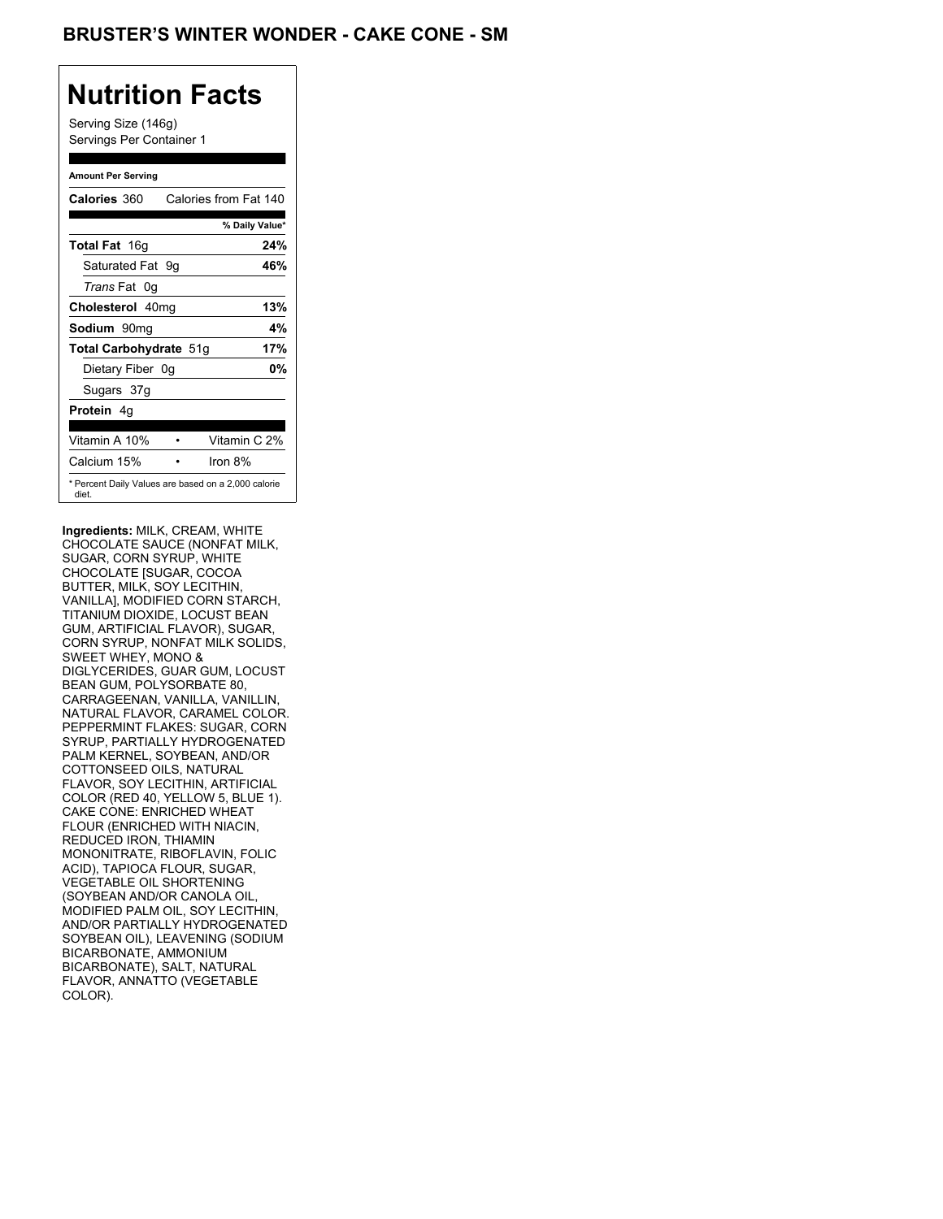Serving Size (146g) Servings Per Container 1

### **Amount Per Serving**

| Calories 360           | Calories from Fat 140                               |
|------------------------|-----------------------------------------------------|
|                        | % Daily Value*                                      |
| <b>Total Fat</b> 16g   | 24%                                                 |
| Saturated Fat 9g       | 46%                                                 |
| <i>Trans</i> Fat 0q    |                                                     |
| Cholesterol 40mg       | 13%                                                 |
| Sodium 90mq            | 4%                                                  |
| Total Carbohydrate 51g | 17%                                                 |
| Dietary Fiber 0g       | 0%                                                  |
| Sugars 37g             |                                                     |
| <b>Protein</b> 4q      |                                                     |
| Vitamin A 10%          | Vitamin C 2%                                        |
| Calcium 15%            | Iron $8%$                                           |
| diet.                  | * Percent Daily Values are based on a 2,000 calorie |

**Ingredients:** MILK, CREAM, WHITE CHOCOLATE SAUCE (NONFAT MILK, SUGAR, CORN SYRUP, WHITE CHOCOLATE [SUGAR, COCOA BUTTER, MILK, SOY LECITHIN, VANILLA], MODIFIED CORN STARCH, TITANIUM DIOXIDE, LOCUST BEAN GUM, ARTIFICIAL FLAVOR), SUGAR, CORN SYRUP, NONFAT MILK SOLIDS, SWEET WHEY, MONO & DIGLYCERIDES, GUAR GUM, LOCUST BEAN GUM, POLYSORBATE 80, CARRAGEENAN, VANILLA, VANILLIN, NATURAL FLAVOR, CARAMEL COLOR. PEPPERMINT FLAKES: SUGAR, CORN SYRUP, PARTIALLY HYDROGENATED PALM KERNEL, SOYBEAN, AND/OR COTTONSEED OILS, NATURAL FLAVOR, SOY LECITHIN, ARTIFICIAL COLOR (RED 40, YELLOW 5, BLUE 1). CAKE CONE: ENRICHED WHEAT FLOUR (ENRICHED WITH NIACIN, REDUCED IRON, THIAMIN MONONITRATE, RIBOFLAVIN, FOLIC ACID), TAPIOCA FLOUR, SUGAR, VEGETABLE OIL SHORTENING (SOYBEAN AND/OR CANOLA OIL, MODIFIED PALM OIL, SOY LECITHIN, AND/OR PARTIALLY HYDROGENATED SOYBEAN OIL), LEAVENING (SODIUM BICARBONATE, AMMONIUM BICARBONATE), SALT, NATURAL FLAVOR, ANNATTO (VEGETABLE COLOR).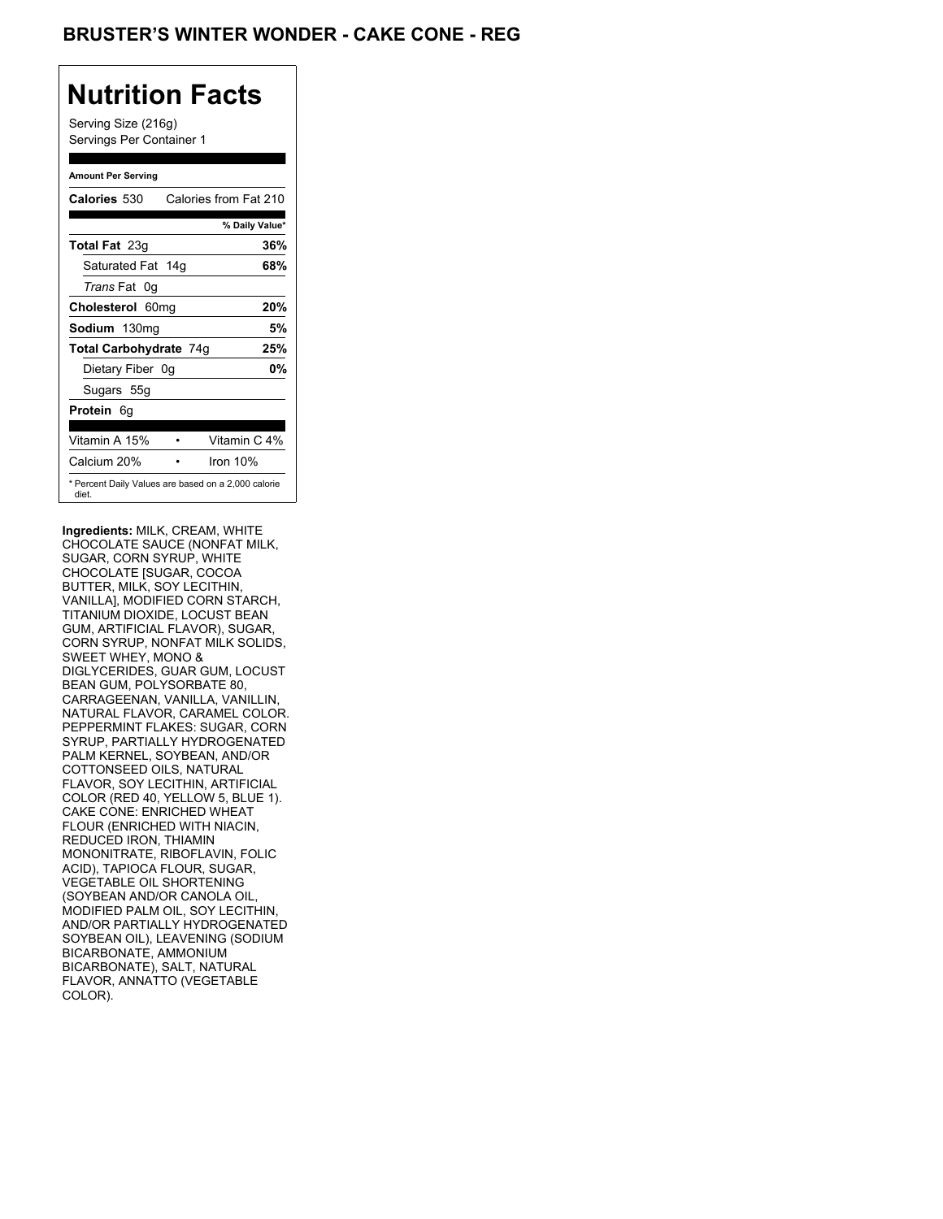## **BRUSTER'S WINTER WONDER - CAKE CONE - REG**

# **Nutrition Facts**

Serving Size (216g) Servings Per Container 1

### **Amount Per Serving**

| <b>Calories 530</b>                                          |  | Calories from Fat 210 |
|--------------------------------------------------------------|--|-----------------------|
|                                                              |  | % Daily Value*        |
| <b>Total Fat</b> 23g                                         |  | 36%                   |
| Saturated Fat 14g                                            |  | 68%                   |
| <i>Trans</i> Fat 0q                                          |  |                       |
| Cholesterol 60mg                                             |  | 20%                   |
| Sodium 130mg                                                 |  | 5%                    |
| Total Carbohydrate 74g                                       |  | 25%                   |
| Dietary Fiber 0g                                             |  | 0%                    |
| Sugars 55g                                                   |  |                       |
| <b>Protein 6g</b>                                            |  |                       |
| Vitamin A 15%                                                |  | Vitamin C 4%          |
| Calcium 20%                                                  |  | Iron $10\%$           |
| * Percent Daily Values are based on a 2,000 calorie<br>diet. |  |                       |

**Ingredients:** MILK, CREAM, WHITE CHOCOLATE SAUCE (NONFAT MILK, SUGAR, CORN SYRUP, WHITE CHOCOLATE [SUGAR, COCOA BUTTER, MILK, SOY LECITHIN, VANILLA], MODIFIED CORN STARCH, TITANIUM DIOXIDE, LOCUST BEAN GUM, ARTIFICIAL FLAVOR), SUGAR, CORN SYRUP, NONFAT MILK SOLIDS, SWEET WHEY, MONO & DIGLYCERIDES, GUAR GUM, LOCUST BEAN GUM, POLYSORBATE 80, CARRAGEENAN, VANILLA, VANILLIN, NATURAL FLAVOR, CARAMEL COLOR. PEPPERMINT FLAKES: SUGAR, CORN SYRUP, PARTIALLY HYDROGENATED PALM KERNEL, SOYBEAN, AND/OR COTTONSEED OILS, NATURAL FLAVOR, SOY LECITHIN, ARTIFICIAL COLOR (RED 40, YELLOW 5, BLUE 1). CAKE CONE: ENRICHED WHEAT FLOUR (ENRICHED WITH NIACIN, REDUCED IRON, THIAMIN MONONITRATE, RIBOFLAVIN, FOLIC ACID), TAPIOCA FLOUR, SUGAR, VEGETABLE OIL SHORTENING (SOYBEAN AND/OR CANOLA OIL, MODIFIED PALM OIL, SOY LECITHIN, AND/OR PARTIALLY HYDROGENATED SOYBEAN OIL), LEAVENING (SODIUM BICARBONATE, AMMONIUM BICARBONATE), SALT, NATURAL FLAVOR, ANNATTO (VEGETABLE COLOR).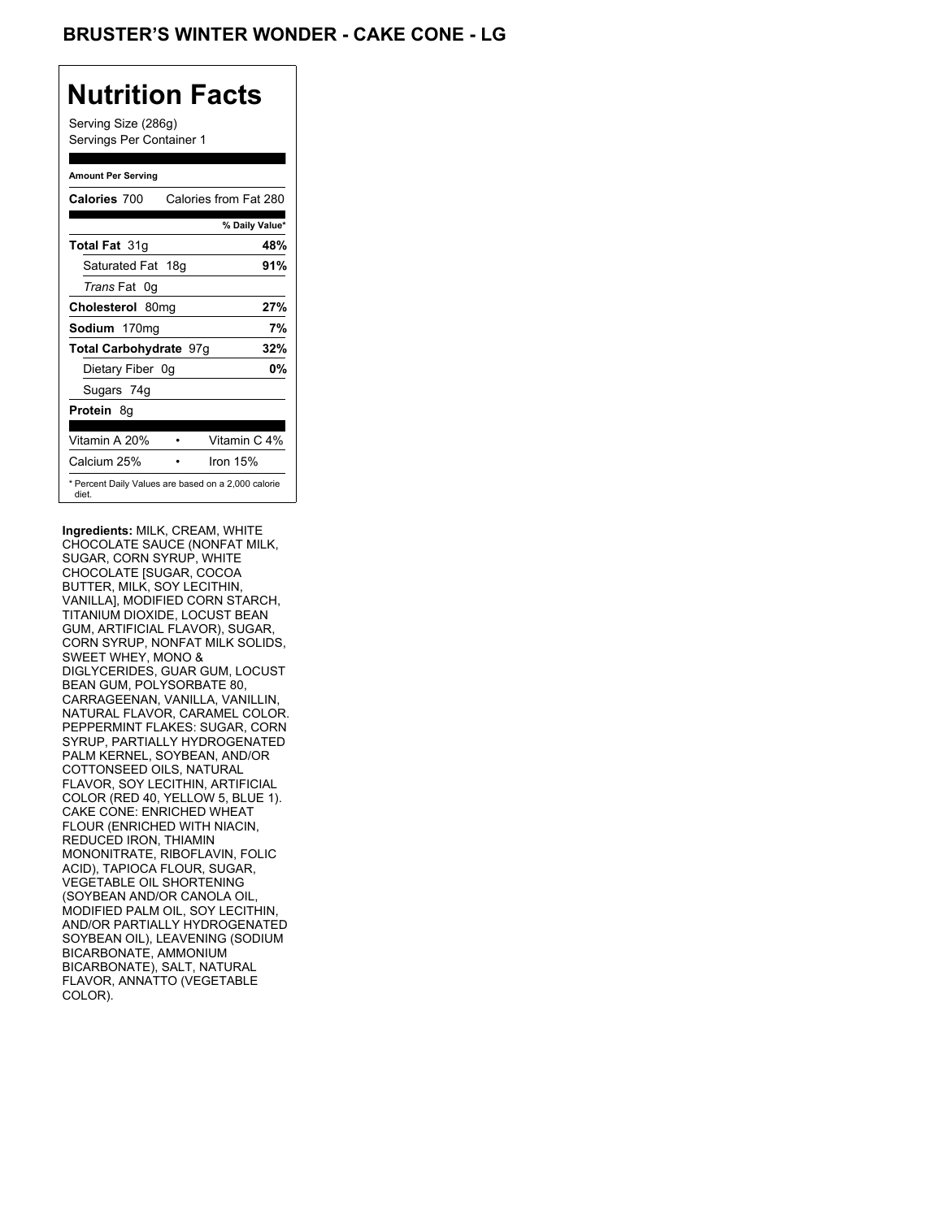## **BRUSTER'S WINTER WONDER - CAKE CONE - LG**

# **Nutrition Facts**

Serving Size (286g) Servings Per Container 1

### **Amount Per Serving**

| Calories 700                                                 | Calories from Fat 280 |     |
|--------------------------------------------------------------|-----------------------|-----|
|                                                              | % Daily Value*        |     |
| <b>Total Fat 31g</b>                                         |                       | 48% |
| Saturated Fat 18g                                            |                       | 91% |
| <i>Trans</i> Fat 0q                                          |                       |     |
| Cholesterol 80mg                                             |                       | 27% |
| Sodium 170mg                                                 |                       | 7%  |
| Total Carbohydrate 97g                                       |                       | 32% |
| Dietary Fiber 0g                                             |                       | 0%  |
| Sugars 74g                                                   |                       |     |
| <b>Protein 8g</b>                                            |                       |     |
| Vitamin A 20%                                                | Vitamin C 4%          |     |
| Calcium 25%                                                  | Iron $15%$            |     |
| * Percent Daily Values are based on a 2,000 calorie<br>diet. |                       |     |

**Ingredients:** MILK, CREAM, WHITE CHOCOLATE SAUCE (NONFAT MILK, SUGAR, CORN SYRUP, WHITE CHOCOLATE [SUGAR, COCOA BUTTER, MILK, SOY LECITHIN, VANILLA], MODIFIED CORN STARCH, TITANIUM DIOXIDE, LOCUST BEAN GUM, ARTIFICIAL FLAVOR), SUGAR, CORN SYRUP, NONFAT MILK SOLIDS, SWEET WHEY, MONO & DIGLYCERIDES, GUAR GUM, LOCUST BEAN GUM, POLYSORBATE 80, CARRAGEENAN, VANILLA, VANILLIN, NATURAL FLAVOR, CARAMEL COLOR. PEPPERMINT FLAKES: SUGAR, CORN SYRUP, PARTIALLY HYDROGENATED PALM KERNEL, SOYBEAN, AND/OR COTTONSEED OILS, NATURAL FLAVOR, SOY LECITHIN, ARTIFICIAL COLOR (RED 40, YELLOW 5, BLUE 1). CAKE CONE: ENRICHED WHEAT FLOUR (ENRICHED WITH NIACIN, REDUCED IRON, THIAMIN MONONITRATE, RIBOFLAVIN, FOLIC ACID), TAPIOCA FLOUR, SUGAR, VEGETABLE OIL SHORTENING (SOYBEAN AND/OR CANOLA OIL, MODIFIED PALM OIL, SOY LECITHIN, AND/OR PARTIALLY HYDROGENATED SOYBEAN OIL), LEAVENING (SODIUM BICARBONATE, AMMONIUM BICARBONATE), SALT, NATURAL FLAVOR, ANNATTO (VEGETABLE COLOR).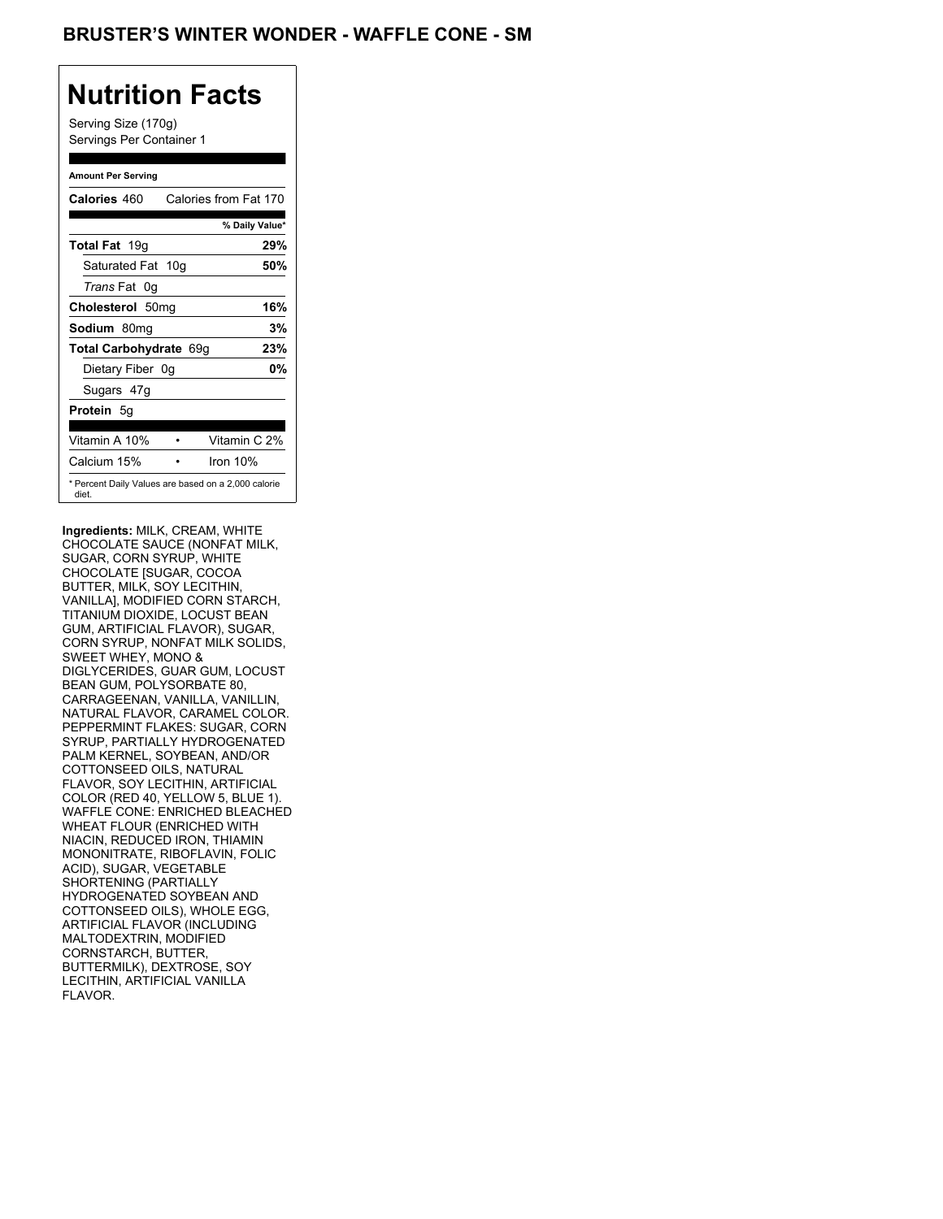Serving Size (170g) Servings Per Container 1

### **Amount Per Serving**

| Calories 460                                                 | Calories from Fat 170 |
|--------------------------------------------------------------|-----------------------|
|                                                              | % Daily Value*        |
| <b>Total Fat</b> 19g                                         | 29%                   |
| Saturated Fat 10g                                            | 50%                   |
| <i>Trans</i> Fat 0q                                          |                       |
| Cholesterol 50mg                                             | 16%                   |
| Sodium 80mg                                                  | 3%                    |
| Total Carbohydrate 69g                                       | 23%                   |
| Dietary Fiber 0g                                             | 0%                    |
| Sugars 47g                                                   |                       |
| <b>Protein</b> 5g                                            |                       |
| Vitamin A 10%                                                | Vitamin C 2%          |
| Calcium 15%                                                  | Iron $10%$            |
| * Percent Daily Values are based on a 2,000 calorie<br>diet. |                       |

**Ingredients:** MILK, CREAM, WHITE CHOCOLATE SAUCE (NONFAT MILK, SUGAR, CORN SYRUP, WHITE CHOCOLATE [SUGAR, COCOA BUTTER, MILK, SOY LECITHIN, VANILLA], MODIFIED CORN STARCH, TITANIUM DIOXIDE, LOCUST BEAN GUM, ARTIFICIAL FLAVOR), SUGAR, CORN SYRUP, NONFAT MILK SOLIDS, SWEET WHEY, MONO & DIGLYCERIDES, GUAR GUM, LOCUST BEAN GUM, POLYSORBATE 80, CARRAGEENAN, VANILLA, VANILLIN, NATURAL FLAVOR, CARAMEL COLOR. PEPPERMINT FLAKES: SUGAR, CORN SYRUP, PARTIALLY HYDROGENATED PALM KERNEL, SOYBEAN, AND/OR COTTONSEED OILS, NATURAL FLAVOR, SOY LECITHIN, ARTIFICIAL COLOR (RED 40, YELLOW 5, BLUE 1). WAFFLE CONE: ENRICHED BLEACHED WHEAT FLOUR (ENRICHED WITH NIACIN, REDUCED IRON, THIAMIN MONONITRATE, RIBOFLAVIN, FOLIC ACID), SUGAR, VEGETABLE SHORTENING (PARTIALLY HYDROGENATED SOYBEAN AND COTTONSEED OILS), WHOLE EGG, ARTIFICIAL FLAVOR (INCLUDING MALTODEXTRIN, MODIFIED CORNSTARCH, BUTTER, BUTTERMILK), DEXTROSE, SOY LECITHIN, ARTIFICIAL VANILLA FLAVOR.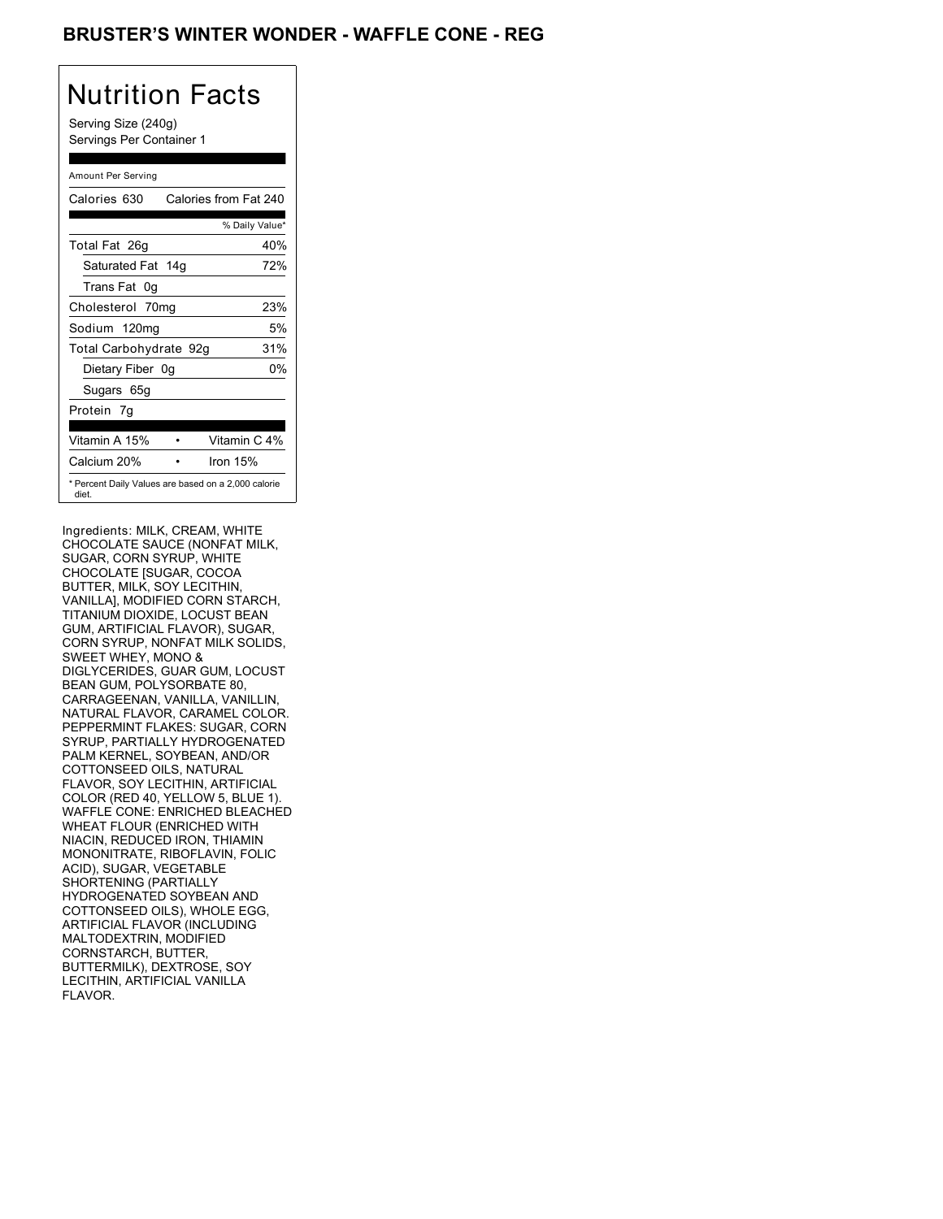### **BRUSTER'S WINTER WONDER - WAFFLE CONE - REG**

# Nutrition Facts

Serving Size (240g) Servings Per Container 1

### Amount Per Serving

| Calories 630                                                 | Calories from Fat 240 |
|--------------------------------------------------------------|-----------------------|
|                                                              | % Daily Value*        |
| Total Fat 26g                                                | 40%                   |
| Saturated Fat 14g                                            | 72%                   |
| Trans Fat 0q                                                 |                       |
| Cholesterol 70mg                                             | 23%                   |
| Sodium 120mg                                                 | 5%                    |
| Total Carbohydrate 92g                                       | 31%                   |
| Dietary Fiber 0g                                             | 0%                    |
| Sugars 65g                                                   |                       |
| Protein 7q                                                   |                       |
| Vitamin A 15%                                                | Vitamin C 4%          |
| Calcium 20%                                                  | Iron $15%$            |
| * Percent Daily Values are based on a 2,000 calorie<br>diet. |                       |

Ingredients: MILK, CREAM, WHITE CHOCOLATE SAUCE (NONFAT MILK, SUGAR, CORN SYRUP, WHITE CHOCOLATE [SUGAR, COCOA BUTTER, MILK, SOY LECITHIN, VANILLA], MODIFIED CORN STARCH, TITANIUM DIOXIDE, LOCUST BEAN GUM, ARTIFICIAL FLAVOR), SUGAR, CORN SYRUP, NONFAT MILK SOLIDS, SWEET WHEY, MONO & DIGLYCERIDES, GUAR GUM, LOCUST BEAN GUM, POLYSORBATE 80, CARRAGEENAN, VANILLA, VANILLIN, NATURAL FLAVOR, CARAMEL COLOR. PEPPERMINT FLAKES: SUGAR, CORN SYRUP, PARTIALLY HYDROGENATED PALM KERNEL, SOYBEAN, AND/OR COTTONSEED OILS, NATURAL FLAVOR, SOY LECITHIN, ARTIFICIAL COLOR (RED 40, YELLOW 5, BLUE 1). WAFFLE CONE: ENRICHED BLEACHED WHEAT FLOUR (ENRICHED WITH NIACIN, REDUCED IRON, THIAMIN MONONITRATE, RIBOFLAVIN, FOLIC ACID), SUGAR, VEGETABLE SHORTENING (PARTIALLY HYDROGENATED SOYBEAN AND COTTONSEED OILS), WHOLE EGG, ARTIFICIAL FLAVOR (INCLUDING MALTODEXTRIN, MODIFIED CORNSTARCH, BUTTER, BUTTERMILK), DEXTROSE, SOY LECITHIN, ARTIFICIAL VANILLA FLAVOR.